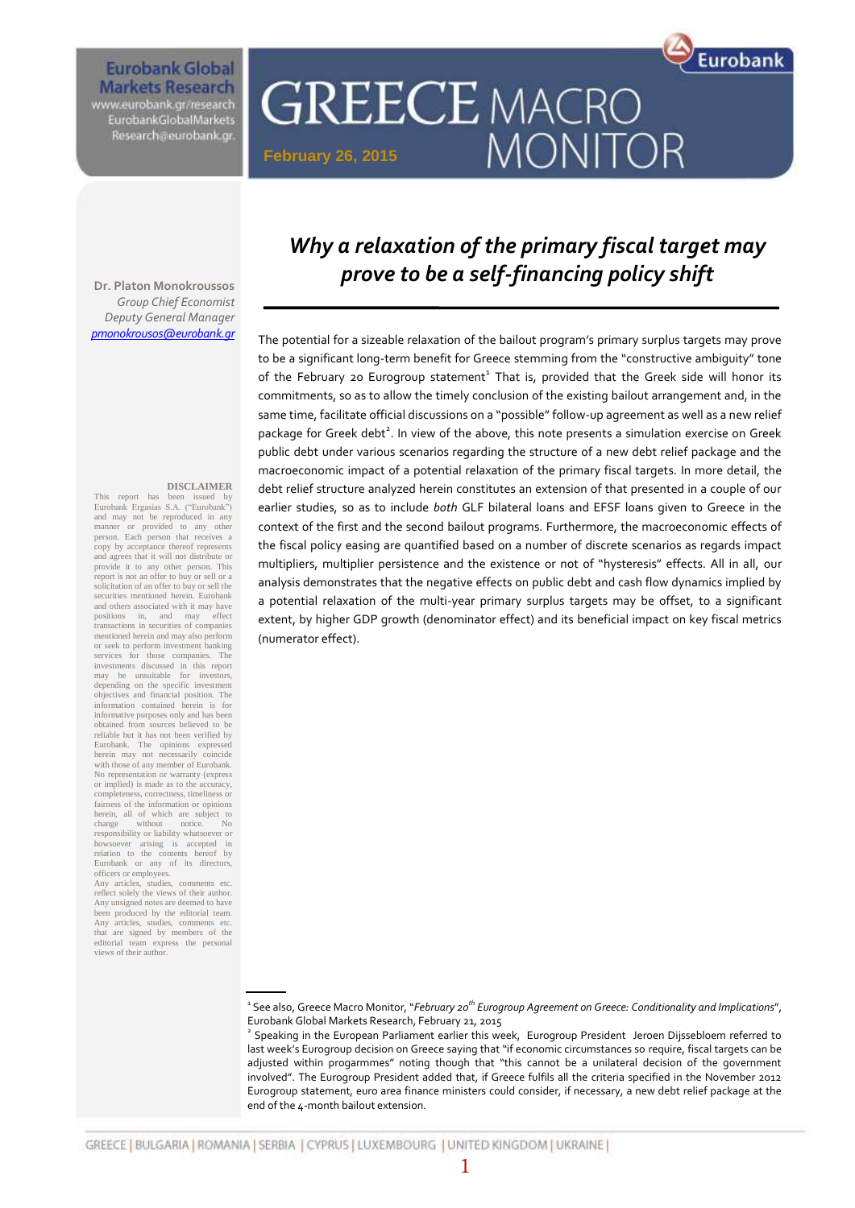# **Eurobank Global Markets Research**

www.eurobank.gr/research<br>EurobankGiobalMarkets Research@eurobank.gr

# **GREECE MACRO** MONITOR **February 26, 2015**

*Group Chief Economist Deputy General Manager [pmonokrousos@eurobank.gr](mailto:pmonokrousos@eurobank.gr)*

#### **DISCLAIMER**

This report has been issued by Eurobank Ergasias S.A. ("Eurobank") and may not be reproduced in any manner or provided to any other person. Each person that receives a copy by acceptance thereof represents and agrees that it will not distribute or provide it to any other person. This report is not an offer to buy or sell or a solicitation of an offer to buy or sell the securities mentioned herein. Eurobank and others associated with it may have positions in, and may effect transactions in securities of companies mentioned herein and may also perform or seek to perform investment banking services for those companies. The investments discussed in this report may be unsuitable for investors, depending on the specific investment objectives and financial position. The information contained herein is for informative purposes only and has been obtained from sources believed to be reliable but it has not been verified by Eurobank. The opinions expressed herein may not necessarily coincide with those of any member of Eurobank. No representation or warranty (express or implied) is made as to the accuracy, completeness, correctness, timeliness or fairness of the information or opinions herein, all of which are subject to change without notice. No responsibility or liability whatsoever or howsoever arising is accepted in relation to the contents hereof by Eurobank or any of its directors, officers or employees.

Any articles, studies, comments etc. reflect solely the views of their author. Any unsigned notes are deemed to have been produced by the editorial team. Any articles, studies, comments etc. that are signed by members of the editorial team express the personal views of their author.

# *Why a relaxation of the primary fiscal target may prove to be a self-financing policy shift*

Eurobank

The potential for a sizeable relaxation of the bailout program's primary surplus targets may prove to be a significant long-term benefit for Greece stemming from the "constructive ambiguity" tone of the February 20 Eurogroup statement<sup>1</sup> That is, provided that the Greek side will honor its commitments, so as to allow the timely conclusion of the existing bailout arrangement and, in the same time, facilitate official discussions on a "possible" follow-up agreement as well as a new relief package for Greek debt<sup>2</sup>. In view of the above, this note presents a simulation exercise on Greek public debt under various scenarios regarding the structure of a new debt relief package and the macroeconomic impact of a potential relaxation of the primary fiscal targets. In more detail, the debt relief structure analyzed herein constitutes an extension of that presented in a couple of our earlier studies, so as to include *both* GLF bilateral loans and EFSF loans given to Greece in the context of the first and the second bailout programs. Furthermore, the macroeconomic effects of the fiscal policy easing are quantified based on a number of discrete scenarios as regards impact multipliers, multiplier persistence and the existence or not of "hysteresis" effects. All in all, our analysis demonstrates that the negative effects on public debt and cash flow dynamics implied by a potential relaxation of the multi-year primary surplus targets may be offset, to a significant extent, by higher GDP growth (denominator effect) and its beneficial impact on key fiscal metrics (numerator effect).

1 See also, Greece Macro Monitor, "*February 20th Eurogroup Agreement on Greece: Conditionality and Implications*", Eurobank Global Markets Research, February 21, 2015

2 Speaking in the European Parliament earlier this week, Eurogroup President Jeroen Dijssebloem referred to last week's Eurogroup decision on Greece saying that "if economic circumstances so require, fiscal targets can be adjusted within progarmmes" noting though that "this cannot be a unilateral decision of the government involved". The Eurogroup President added that, if Greece fulfils all the criteria specified in the November 2012 Eurogroup statement, euro area finance ministers could consider, if necessary, a new debt relief package at the end of the 4-month bailout extension.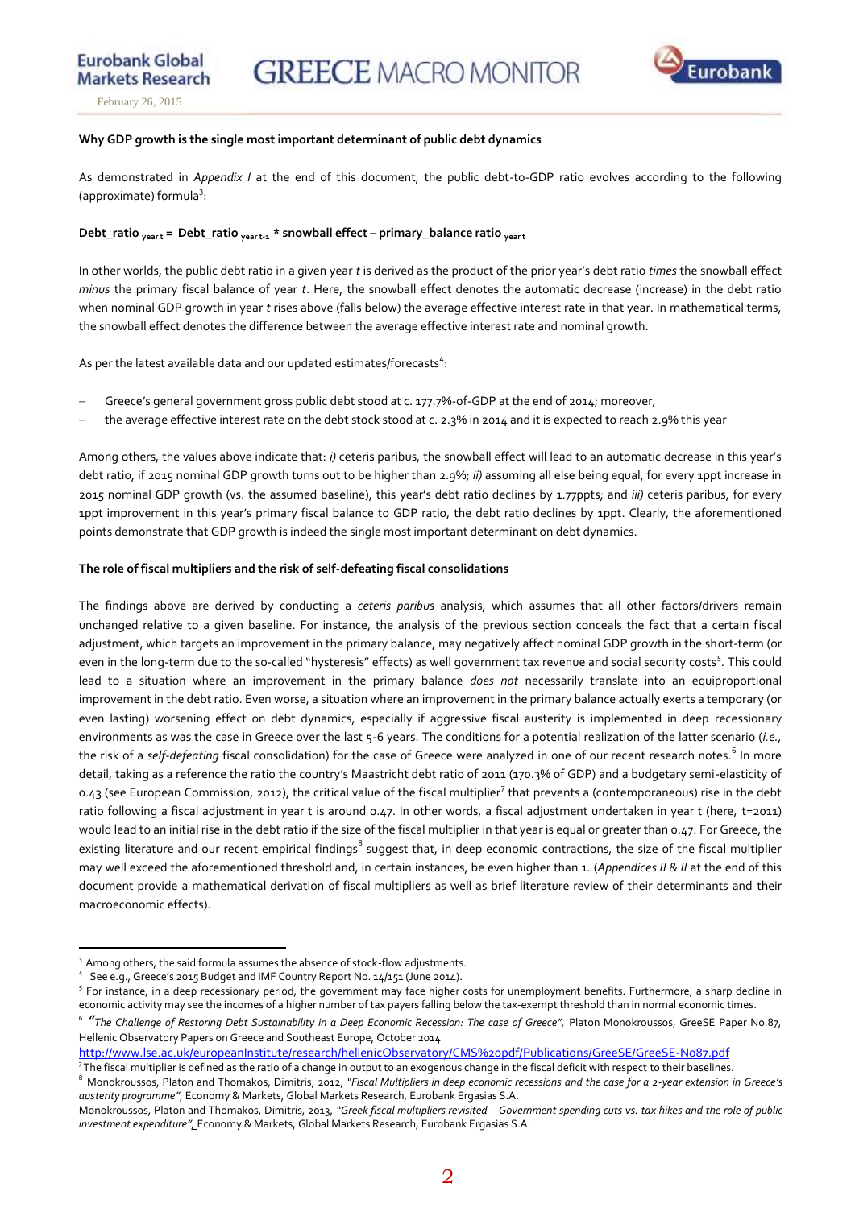**Markets Research** February 26, 2015

**Eurobank Global** 

### **Why GDP growth is the single most important determinant of public debt dynamics**

As demonstrated in *Appendix I* at the end of this document, the public debt-to-GDP ratio evolves according to the following (approximate) formula<sup>3</sup>:

### **Debt\_ratio year t = Debt\_ratio year t-1 \* snowball effect – primary\_balance ratio year t**

In other worlds, the public debt ratio in a given year *t* is derived as the product of the prior year's debt ratio *times* the snowball effect *minus* the primary fiscal balance of year *t*. Here, the snowball effect denotes the automatic decrease (increase) in the debt ratio when nominal GDP growth in year *t* rises above (falls below) the average effective interest rate in that year. In mathematical terms, the snowball effect denotes the difference between the average effective interest rate and nominal growth.

As per the latest available data and our updated estimates/forecasts<sup>4</sup>:

- Greece's general government gross public debt stood at c. 177.7%-of-GDP at the end of 2014; moreover,
- the average effective interest rate on the debt stock stood at c. 2.3% in 2014 and it is expected to reach 2.9% this year

Among others, the values above indicate that: *i)* ceteris paribus, the snowball effect will lead to an automatic decrease in this year's debt ratio, if 2015 nominal GDP growth turns out to be higher than 2.9%; *ii)* assuming all else being equal, for every 1ppt increase in 2015 nominal GDP growth (vs. the assumed baseline), this year's debt ratio declines by 1.77ppts; and *iii)* ceteris paribus, for every 1ppt improvement in this year's primary fiscal balance to GDP ratio, the debt ratio declines by 1ppt. Clearly, the aforementioned points demonstrate that GDP growth is indeed the single most important determinant on debt dynamics.

### **The role of fiscal multipliers and the risk of self-defeating fiscal consolidations**

The findings above are derived by conducting a *ceteris paribus* analysis, which assumes that all other factors/drivers remain unchanged relative to a given baseline. For instance, the analysis of the previous section conceals the fact that a certain fiscal adjustment, which targets an improvement in the primary balance, may negatively affect nominal GDP growth in the short-term (or even in the long-term due to the so-called "hysteresis" effects) as well government tax revenue and social security costs<sup>5</sup>. This could lead to a situation where an improvement in the primary balance *does not* necessarily translate into an equiproportional improvement in the debt ratio. Even worse, a situation where an improvement in the primary balance actually exerts a temporary (or even lasting) worsening effect on debt dynamics, especially if aggressive fiscal austerity is implemented in deep recessionary environments as was the case in Greece over the last 5-6 years. The conditions for a potential realization of the latter scenario (*i.e.,* the risk of a *self-defeating* fiscal consolidation) for the case of Greece were analyzed in one of our recent research notes.<sup>6</sup> In more detail, taking as a reference the ratio the country's Maastricht debt ratio of 2011 (170.3% of GDP) and a budgetary semi-elasticity of 0.43 (see European Commission, 2012), the critical value of the fiscal multiplier<sup>7</sup> that prevents a (contemporaneous) rise in the debt ratio following a fiscal adjustment in year t is around 0.47. In other words, a fiscal adjustment undertaken in year t (here, t=2011) would lead to an initial rise in the debt ratio if the size of the fiscal multiplier in that year is equal or greater than 0.47. For Greece, the existing literature and our recent empirical findings $^8$  suggest that, in deep economic contractions, the size of the fiscal multiplier may well exceed the aforementioned threshold and, in certain instances, be even higher than 1. (*Appendices II & II* at the end of this document provide a mathematical derivation of fiscal multipliers as well as brief literature review of their determinants and their macroeconomic effects).

 $\overline{a}$ 

<http://www.lse.ac.uk/europeanInstitute/research/hellenicObservatory/CMS%20pdf/Publications/GreeSE/GreeSE-No87.pdf>

<sup>&</sup>lt;sup>3</sup> Among others, the said formula assumes the absence of stock-flow adjustments.

<sup>4</sup> See e.g., Greece's 2015 Budget and IMF Country Report No. 14/151 (June 2014).

<sup>&</sup>lt;sup>5</sup> For instance, in a deep recessionary period, the government may face higher costs for unemployment benefits. Furthermore, a sharp decline in economic activity may see the incomes of a higher number of tax payers falling below the tax-exempt threshold than in normal economic times.

 $^{\circ}$  **"**The Challenge of Restoring Debt Sustainability in a Deep Economic Recession: The case of Greece", Platon Monokroussos, GreeSE Paper No.87, Hellenic Observatory Papers on Greece and Southeast Europe, October 2014

<sup>&</sup>lt;sup>7</sup> The fiscal multiplier is defined as the ratio of a change in output to an exogenous change in the fiscal deficit with respect to their baselines.

<sup>8</sup> Monokroussos, Platon and Thomakos, Dimitris, 2012, *"Fiscal Multipliers in deep economic recessions and the case for a 2-year extension in Greece's austerity programme"*, Economy & Markets, Global Markets Research, Eurobank Ergasias S.A.

Monokroussos, Platon and Thomakos, Dimitris, 2013, *"Greek fiscal multipliers revisited – Government spending cuts vs. tax hikes and the role of public investment expenditure",* Economy & Markets, Global Markets Research, Eurobank Ergasias S.A.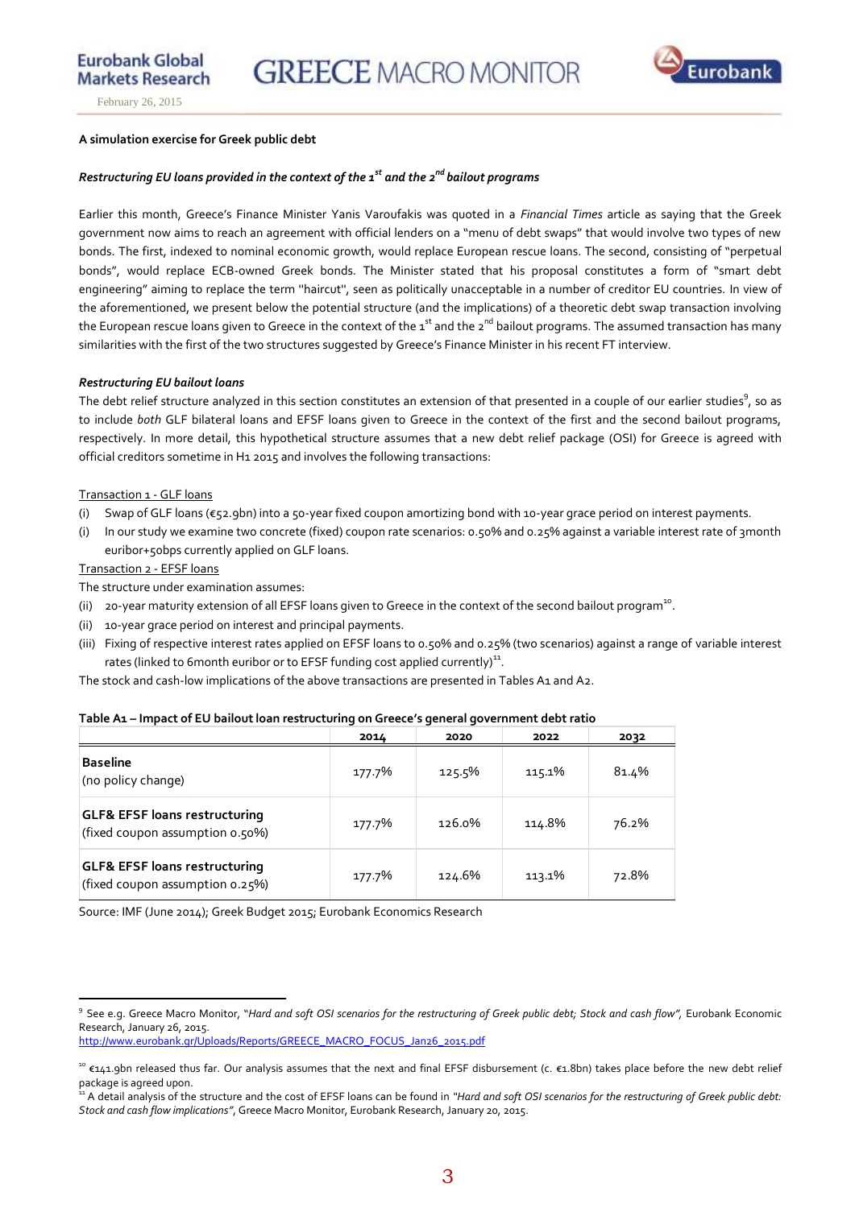

**Eurobank Global** 

### **A simulation exercise for Greek public debt**

## *Restructuring EU loans provided in the context of the 1st and the 2nd bailout programs*

Earlier this month, Greece's Finance Minister Yanis Varoufakis was quoted in a *Financial Times* article as saying that the Greek government now aims to reach an agreement with official lenders on a "menu of debt swaps" that would involve two types of new bonds. The first, indexed to nominal economic growth, would replace European rescue loans. The second, consisting of "perpetual bonds", would replace ECB-owned Greek bonds. The Minister stated that his proposal constitutes a form of "smart debt engineering" aiming to replace the term ''haircut'', seen as politically unacceptable in a number of creditor EU countries. In view of the aforementioned, we present below the potential structure (and the implications) of a theoretic debt swap transaction involving the European rescue loans given to Greece in the context of the  $1^{st}$  and the  $2^{nd}$  bailout programs. The assumed transaction has many similarities with the first of the two structures suggested by Greece's Finance Minister in his recent FT interview.

### *Restructuring EU bailout loans*

The debt relief structure analyzed in this section constitutes an extension of that presented in a couple of our earlier studies<sup>9</sup>, so as to include *both* GLF bilateral loans and EFSF loans given to Greece in the context of the first and the second bailout programs, respectively. In more detail, this hypothetical structure assumes that a new debt relief package (OSI) for Greece is agreed with official creditors sometime in H1 2015 and involves the following transactions:

### Transaction 1 - GLF loans

- (i) Swap of GLF loans (€52.9bn) into a 50-year fixed coupon amortizing bond with 10-year grace period on interest payments.
- (i) In our study we examine two concrete (fixed) coupon rate scenarios: 0.50% and 0.25% against a variable interest rate of 3month euribor+50bps currently applied on GLF loans.

Transaction 2 - EFSF loans

 $\overline{a}$ 

The structure under examination assumes:

- (ii)  $20$ -year maturity extension of all EFSF loans given to Greece in the context of the second bailout program<sup>10</sup>.
- (ii) 10-year grace period on interest and principal payments.
- (iii) Fixing of respective interest rates applied on EFSF loans to 0.50% and 0.25% (two scenarios) against a range of variable interest rates (linked to 6 month euribor or to EFSF funding cost applied currently)<sup>11</sup>.

The stock and cash-low implications of the above transactions are presented in Tables A1 and A2.

|                                                                             | 2014   | 2020   | 2022   | 2032  |
|-----------------------------------------------------------------------------|--------|--------|--------|-------|
| <b>Baseline</b><br>(no policy change)                                       | 177.7% | 125.5% | 115.1% | 81.4% |
| <b>GLF&amp; EFSF loans restructuring</b><br>(fixed coupon assumption 0.50%) | 177.7% | 126.0% | 114.8% | 76.2% |
| <b>GLF&amp; EFSF loans restructuring</b><br>(fixed coupon assumption 0.25%) | 177.7% | 124.6% | 113.1% | 72.8% |

### **Table A1 – Impact of EU bailout loan restructuring on Greece's general government debt ratio**

Source: IMF (June 2014); Greek Budget 2015; Eurobank Economics Research

[http://www.eurobank.gr/Uploads/Reports/GREECE\\_MACRO\\_FOCUS\\_Jan26\\_2015.pdf](http://www.eurobank.gr/Uploads/Reports/GREECE_MACRO_FOCUS_Jan26_2015.pdf)

<sup>9</sup> See e.g. Greece Macro Monitor, "*Hard and soft OSI scenarios for the restructuring of Greek public debt; Stock and cash flow",* Eurobank Economic Research, January 26, 2015.

<sup>&</sup>lt;sup>10</sup> €141.9bn released thus far. Our analysis assumes that the next and final EFSF disbursement (c. €1.8bn) takes place before the new debt relief package is agreed upon.

<sup>&</sup>lt;sup>11</sup> A detail analysis of the structure and the cost of EFSF loans can be found in "Hard and soft OSI scenarios for the restructuring of Greek public debt: *Stock and cash flow implications"*, Greece Macro Monitor, Eurobank Research, January 20, 2015.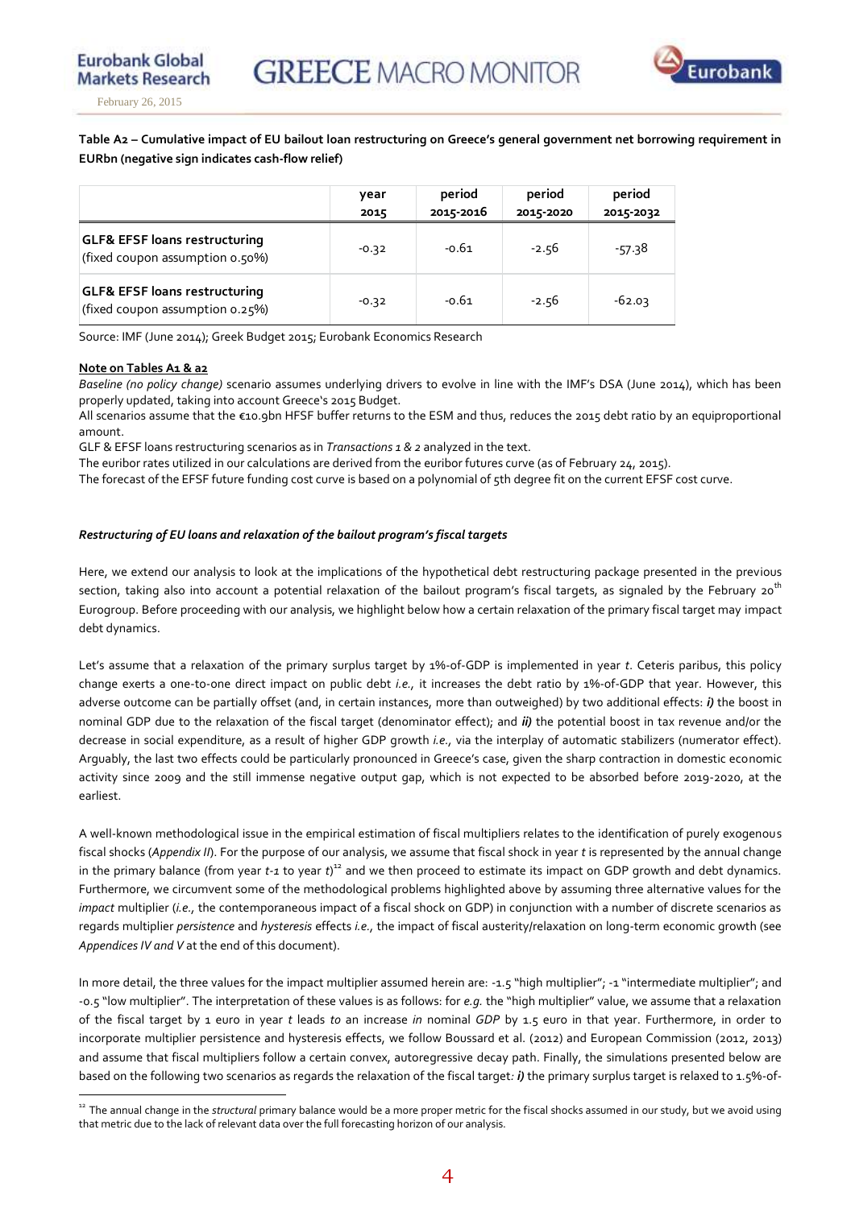

**Eurobank Global** 

**Table A2 – Cumulative impact of EU bailout loan restructuring on Greece's general government net borrowing requirement in EURbn (negative sign indicates cash-flow relief)** 

|                                                                             | year<br>2015 | period<br>2015-2016 | period<br>2015-2020 | period<br>2015-2032 |
|-----------------------------------------------------------------------------|--------------|---------------------|---------------------|---------------------|
| <b>GLF&amp; EFSF loans restructuring</b><br>(fixed coupon assumption 0.50%) | $-0.32$      | $-0.61$             | $-2.56$             | $-57.38$            |
| <b>GLF&amp; EFSF loans restructuring</b><br>(fixed coupon assumption 0.25%) | $-0.32$      | $-0.61$             | $-2.56$             | $-62.03$            |

Source: IMF (June 2014); Greek Budget 2015; Eurobank Economics Research

### **Note on Tables A1 & a2**

*Baseline (no policy change)* scenario assumes underlying drivers to evolve in line with the IMF's DSA (June 2014), which has been properly updated, taking into account Greece's 2015 Budget.

All scenarios assume that the €10.9bn HFSF buffer returns to the ESM and thus, reduces the 2015 debt ratio by an equiproportional amount.

GLF & EFSF loans restructuring scenarios as in *Transactions 1 & 2* analyzed in the text.

The euribor rates utilized in our calculations are derived from the euribor futures curve (as of February 24, 2015).

The forecast of the EFSF future funding cost curve is based on a polynomial of 5th degree fit on the current EFSF cost curve.

### *Restructuring of EU loans and relaxation of the bailout program's fiscal targets*

Here, we extend our analysis to look at the implications of the hypothetical debt restructuring package presented in the previous section, taking also into account a potential relaxation of the bailout program's fiscal targets, as signaled by the February 20<sup>th</sup> Eurogroup. Before proceeding with our analysis, we highlight below how a certain relaxation of the primary fiscal target may impact debt dynamics.

Let's assume that a relaxation of the primary surplus target by 1%-of-GDP is implemented in year *t*. Ceteris paribus, this policy change exerts a one-to-one direct impact on public debt *i.e.,* it increases the debt ratio by 1%-of-GDP that year. However, this adverse outcome can be partially offset (and, in certain instances, more than outweighed) by two additional effects: *i)* the boost in nominal GDP due to the relaxation of the fiscal target (denominator effect); and *ii)* the potential boost in tax revenue and/or the decrease in social expenditure, as a result of higher GDP growth *i.e.,* via the interplay of automatic stabilizers (numerator effect). Arguably, the last two effects could be particularly pronounced in Greece's case, given the sharp contraction in domestic economic activity since 2009 and the still immense negative output gap, which is not expected to be absorbed before 2019-2020, at the earliest.

A well-known methodological issue in the empirical estimation of fiscal multipliers relates to the identification of purely exogenous fiscal shocks (*Appendix II*). For the purpose of our analysis, we assume that fiscal shock in year *t* is represented by the annual change in the primary balance (from year *t-1* to year *t*)<sup>12</sup> and we then proceed to estimate its impact on GDP growth and debt dynamics. Furthermore, we circumvent some of the methodological problems highlighted above by assuming three alternative values for the *impact* multiplier (*i.e.,* the contemporaneous impact of a fiscal shock on GDP) in conjunction with a number of discrete scenarios as regards multiplier *persistence* and *hysteresis* effects *i.e.,* the impact of fiscal austerity/relaxation on long-term economic growth (see *Appendices IV and V* at the end of this document).

In more detail, the three values for the impact multiplier assumed herein are: -1.5 "high multiplier"; -1 "intermediate multiplier"; and -0.5 "low multiplier". The interpretation of these values is as follows: for *e.g.* the "high multiplier" value, we assume that a relaxation of the fiscal target by 1 euro in year *t* leads *to* an increase *in* nominal *GDP* by 1.5 euro in that year. Furthermore, in order to incorporate multiplier persistence and hysteresis effects, we follow Boussard et al. (2012) and European Commission (2012, 2013) and assume that fiscal multipliers follow a certain convex, autoregressive decay path. Finally, the simulations presented below are based on the following two scenarios as regards the relaxation of the fiscal target*: i)* the primary surplus target is relaxed to 1.5%-of-

 $\overline{a}$ <sup>12</sup> The annual change in the *structural* primary balance would be a more proper metric for the fiscal shocks assumed in our study, but we avoid using that metric due to the lack of relevant data over the full forecasting horizon of our analysis.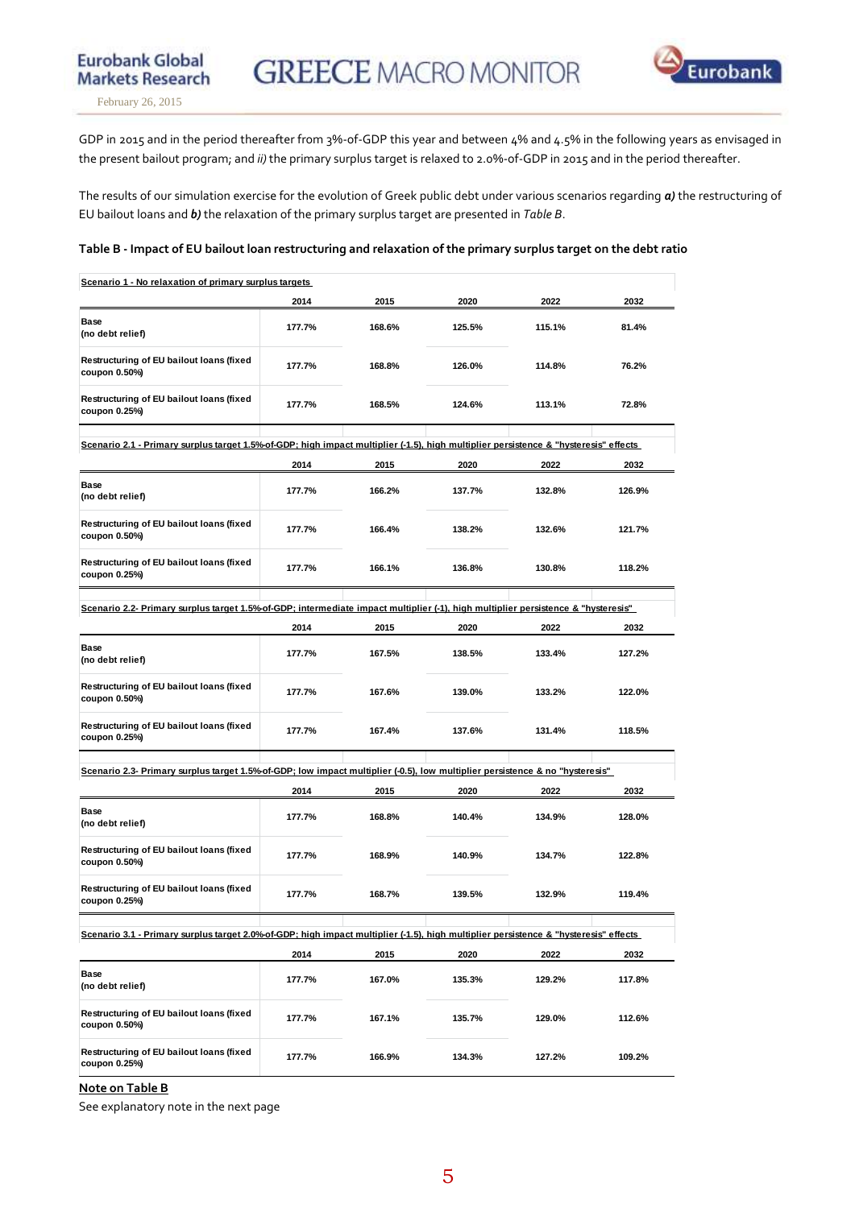

**Eurobank Global** 

GDP in 2015 and in the period thereafter from 3%-of-GDP this year and between 4% and 4.5% in the following years as envisaged in the present bailout program; and *ii)* the primary surplus target is relaxed to 2.0%-of-GDP in 2015 and in the period thereafter.

The results of our simulation exercise for the evolution of Greek public debt under various scenarios regarding *a)* the restructuring of EU bailout loans and *b)* the relaxation of the primary surplus target are presented in *Table B*.

### **Table B - Impact of EU bailout loan restructuring and relaxation of the primary surplus target on the debt ratio**

| Scenario 1 - No relaxation of primary surplus targets                                                                                |        |        |        |        |        |
|--------------------------------------------------------------------------------------------------------------------------------------|--------|--------|--------|--------|--------|
|                                                                                                                                      | 2014   | 2015   | 2020   | 2022   | 2032   |
| Base<br>(no debt relief)                                                                                                             | 177.7% | 168.6% | 125.5% | 115.1% | 81.4%  |
| Restructuring of EU bailout loans (fixed<br>coupon 0.50%)                                                                            | 177.7% | 168.8% | 126.0% | 114.8% | 76.2%  |
| Restructuring of EU bailout loans (fixed<br>coupon 0.25%)                                                                            | 177.7% | 168.5% | 124.6% | 113.1% | 72.8%  |
| Scenario 2.1 - Primary surplus target 1.5%-of-GDP; high impact multiplier (-1.5), high multiplier persistence & "hysteresis" effects |        |        |        |        |        |
|                                                                                                                                      | 2014   | 2015   | 2020   | 2022   | 2032   |
| Base<br>(no debt relief)                                                                                                             | 177.7% | 166.2% | 137.7% | 132.8% | 126.9% |
| Restructuring of EU bailout loans (fixed<br>coupon 0.50%)                                                                            | 177.7% | 166.4% | 138.2% | 132.6% | 121.7% |
| Restructuring of EU bailout loans (fixed<br>coupon 0.25%)                                                                            | 177.7% | 166.1% | 136.8% | 130.8% | 118.2% |
| Scenario 2.2- Primary surplus target 1.5%-of-GDP; intermediate impact multiplier (-1), high multiplier persistence & "hysteresis"    |        |        |        |        |        |
|                                                                                                                                      |        |        |        |        |        |
|                                                                                                                                      | 2014   | 2015   | 2020   | 2022   | 2032   |
| <b>Base</b><br>(no debt relief)                                                                                                      | 177.7% | 167.5% | 138.5% | 133.4% | 127.2% |
| Restructuring of EU bailout loans (fixed<br>coupon 0.50%)                                                                            | 177.7% | 167.6% | 139.0% | 133.2% | 122.0% |
| Restructuring of EU bailout loans (fixed<br>coupon 0.25%)                                                                            | 177.7% | 167.4% | 137.6% | 131.4% | 118.5% |
| Scenario 2.3- Primary surplus target 1.5% of GDP; low impact multiplier (-0.5), low multiplier persistence & no "hysteresis"         |        |        |        |        |        |
|                                                                                                                                      | 2014   | 2015   | 2020   | 2022   | 2032   |
| Base<br>(no debt relief)                                                                                                             | 177.7% | 168.8% | 140.4% | 134.9% | 128.0% |
| Restructuring of EU bailout loans (fixed<br>coupon 0.50%)                                                                            | 177.7% | 168.9% | 140.9% | 134.7% | 122.8% |
| Restructuring of EU bailout loans (fixed<br>coupon 0.25%)                                                                            | 177.7% | 168.7% | 139.5% | 132.9% | 119.4% |
| Scenario 3.1 - Primary surplus target 2.0% of GDP; high impact multiplier (-1.5), high multiplier persistence & "hysteresis" effects |        |        |        |        |        |
|                                                                                                                                      | 2014   | 2015   | 2020   | 2022   | 2032   |
| Base<br>(no debt relief)                                                                                                             | 177.7% | 167.0% | 135.3% | 129.2% | 117.8% |
| Restructuring of EU bailout loans (fixed<br>coupon 0.50%)                                                                            | 177.7% | 167.1% | 135.7% | 129.0% | 112.6% |
| Restructuring of EU bailout loans (fixed<br>coupon 0.25%)                                                                            | 177.7% | 166.9% | 134.3% | 127.2% | 109.2% |

**Note on Table B**

See explanatory note in the next page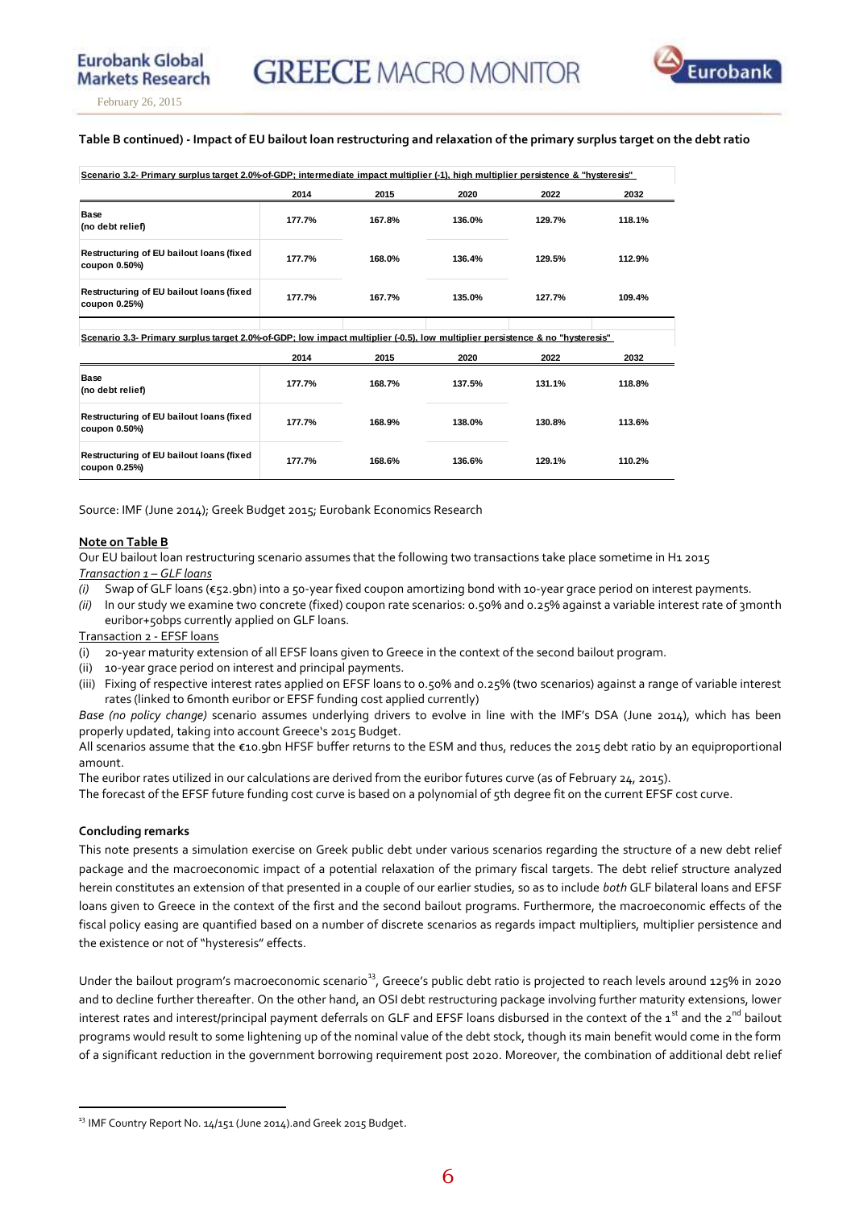

**Eurobank Global** 

### **Table B continued) - Impact of EU bailout loan restructuring and relaxation of the primary surplus target on the debt ratio**

|                                                           | 2014   | 2015   | 2020   | 2022   | 2032   |
|-----------------------------------------------------------|--------|--------|--------|--------|--------|
| <b>Base</b><br>(no debt relief)                           | 177.7% | 167.8% | 136.0% | 129.7% | 118.1% |
| Restructuring of EU bailout loans (fixed<br>coupon 0.50%) | 177.7% | 168.0% | 136.4% | 129.5% | 112.9% |
| Restructuring of EU bailout loans (fixed<br>coupon 0.25%) | 177.7% | 167.7% | 135.0% | 127.7% | 109.4% |

|                                                           | 2014   | 2015   | 2020   | 2022   | 2032   |
|-----------------------------------------------------------|--------|--------|--------|--------|--------|
| <b>Base</b><br>(no debt relief)                           | 177.7% | 168.7% | 137.5% | 131.1% | 118.8% |
| Restructuring of EU bailout loans (fixed<br>coupon 0.50%  | 177.7% | 168.9% | 138.0% | 130.8% | 113.6% |
| Restructuring of EU bailout loans (fixed<br>coupon 0.25%) | 177.7% | 168.6% | 136.6% | 129.1% | 110.2% |

Source: IMF (June 2014); Greek Budget 2015; Eurobank Economics Research

#### **Note on Table B**

Our EU bailout loan restructuring scenario assumes that the following two transactions take place sometime in H1 2015 *Transaction 1 – GLF loans* 

- *(i)* Swap of GLF loans (€52.9bn) into a 50-year fixed coupon amortizing bond with 10-year grace period on interest payments.
- *(ii)* In our study we examine two concrete (fixed) coupon rate scenarios: 0.50% and 0.25% against a variable interest rate of 3month euribor+50bps currently applied on GLF loans.

Transaction 2 - EFSF loans

- (i) 20-year maturity extension of all EFSF loans given to Greece in the context of the second bailout program.
- (ii) 10-year grace period on interest and principal payments.
- (iii) Fixing of respective interest rates applied on EFSF loans to 0.50% and 0.25% (two scenarios) against a range of variable interest rates (linked to 6month euribor or EFSF funding cost applied currently)

*Base (no policy change)* scenario assumes underlying drivers to evolve in line with the IMF's DSA (June 2014), which has been properly updated, taking into account Greece's 2015 Budget.

All scenarios assume that the €10.9bn HFSF buffer returns to the ESM and thus, reduces the 2015 debt ratio by an equiproportional amount.

The euribor rates utilized in our calculations are derived from the euribor futures curve (as of February 24, 2015).

The forecast of the EFSF future funding cost curve is based on a polynomial of 5th degree fit on the current EFSF cost curve.

### **Concluding remarks**

 $\overline{a}$ 

This note presents a simulation exercise on Greek public debt under various scenarios regarding the structure of a new debt relief package and the macroeconomic impact of a potential relaxation of the primary fiscal targets. The debt relief structure analyzed herein constitutes an extension of that presented in a couple of our earlier studies, so as to include *both* GLF bilateral loans and EFSF loans given to Greece in the context of the first and the second bailout programs. Furthermore, the macroeconomic effects of the fiscal policy easing are quantified based on a number of discrete scenarios as regards impact multipliers, multiplier persistence and the existence or not of "hysteresis" effects.

Under the bailout program's macroeconomic scenario<sup>13</sup>, Greece's public debt ratio is projected to reach levels around 125% in 2020 and to decline further thereafter. On the other hand, an OSI debt restructuring package involving further maturity extensions, lower interest rates and interest/principal payment deferrals on GLF and EFSF loans disbursed in the context of the  $1^{st}$  and the  $2^{nd}$  bailout programs would result to some lightening up of the nominal value of the debt stock, though its main benefit would come in the form of a significant reduction in the government borrowing requirement post 2020. Moreover, the combination of additional debt relief

<sup>&</sup>lt;sup>13</sup> IMF Country Report No. 14/151 (June 2014).and Greek 2015 Budget.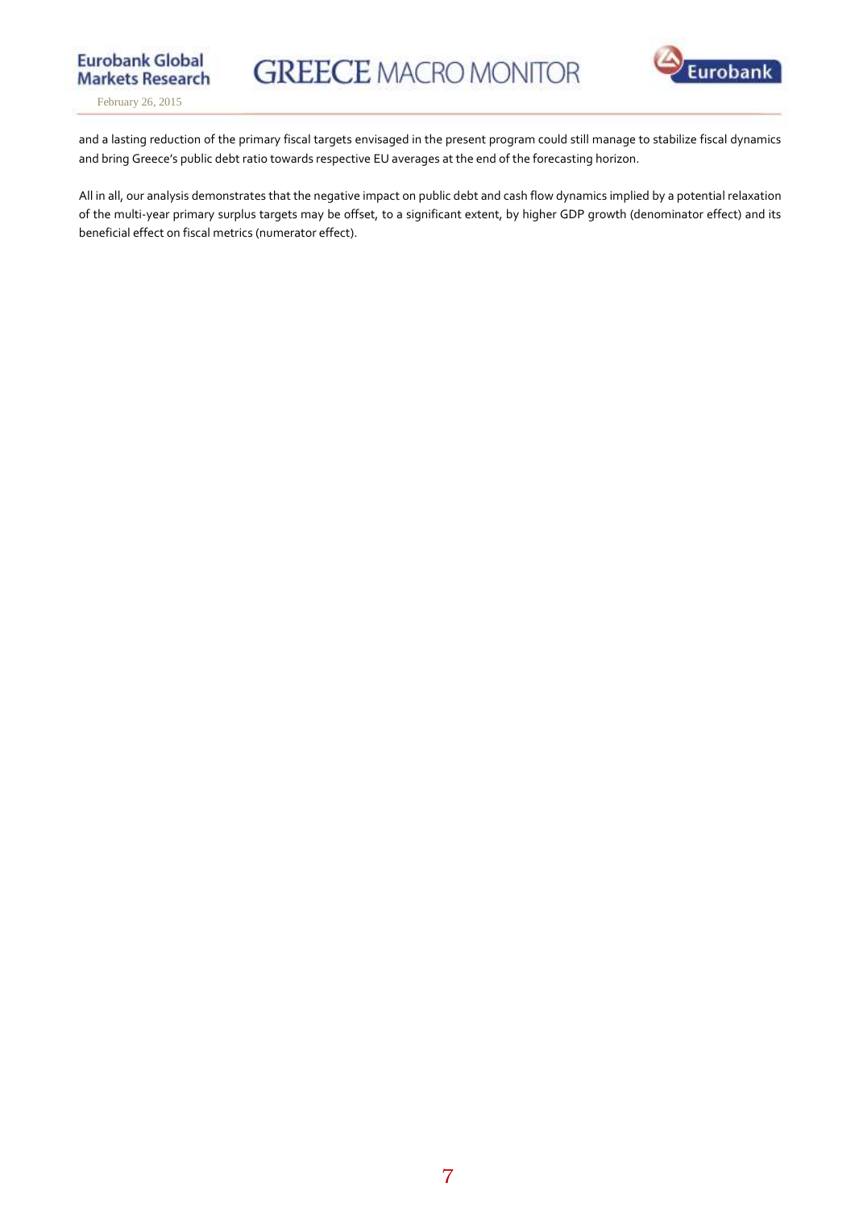



**Eurobank Global** 

and a lasting reduction of the primary fiscal targets envisaged in the present program could still manage to stabilize fiscal dynamics and bring Greece's public debt ratio towards respective EU averages at the end of the forecasting horizon.

All in all, our analysis demonstrates that the negative impact on public debt and cash flow dynamics implied by a potential relaxation of the multi-year primary surplus targets may be offset, to a significant extent, by higher GDP growth (denominator effect) and its beneficial effect on fiscal metrics (numerator effect).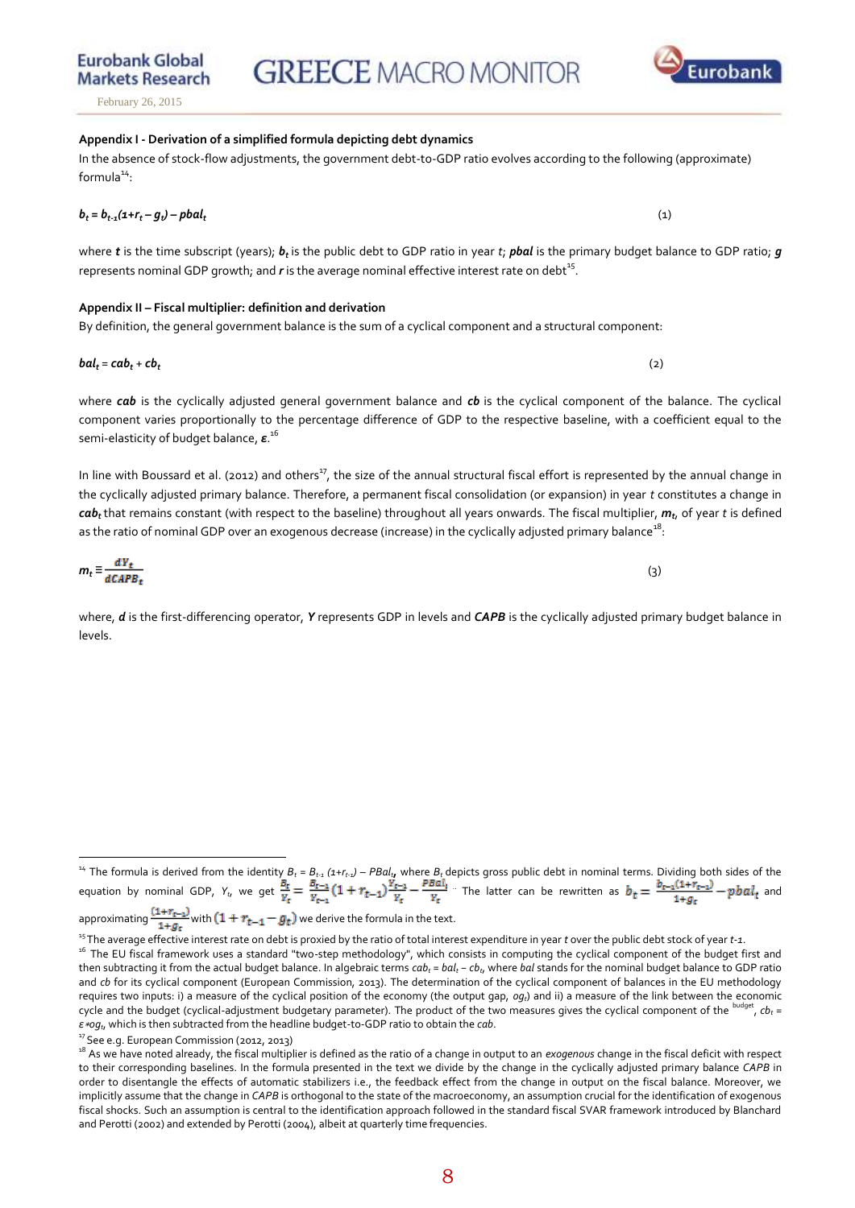# **GREECE MACRO MONITOR**

**Markets Research** February 26, 2015

**Eurobank Global** 

## **Appendix I - Derivation of a simplified formula depicting debt dynamics**  In the absence of stock-flow adjustments, the government debt-to-GDP ratio evolves according to the following (approximate)  $formula<sup>14</sup>:$

 $b_t = b_{t-1}(1+r_t - g_t) - pbaI_t$  $\mathbf{r}$  (1)  $\mathbf{r}$  (1)  $\mathbf{r}$  (1)  $\mathbf{r}$  (1)  $\mathbf{r}$  (1)  $\mathbf{r}$  (1)  $\mathbf{r}$  (1) where *t* is the time subscript (years); *b*<sub>t</sub> is the public debt to GDP ratio in year *t*; *pbal* is the primary budget balance to GDP ratio; *q* represents nominal GDP growth; and  $r$  is the average nominal effective interest rate on  $\text{debt}^{15}.$ 

### **Appendix II – Fiscal multiplier: definition and derivation**

# By definition, the general government balance is the sum of a cyclical component and a structural component:

 $b$ al<sub>t</sub> =  $cab_t + cb_t$ 

where *cab* is the cyclically adjusted general government balance and *cb* is the cyclical component of the balance. The cyclical component varies proportionally to the percentage difference of GDP to the respective baseline, with a coefficient equal to the semi-elasticity of budget balance, *ε*. 16

In line with Boussard et al. (2012) and others<sup>17</sup>, the size of the annual structural fiscal effort is represented by the annual change in the cyclically adjusted primary balance. Therefore, a permanent fiscal consolidation (or expansion) in year *t* constitutes a change in *cabt* that remains constant (with respect to the baseline) throughout all years onwards. The fiscal multiplier, *m<sup>t</sup>* , of year *t* is defined as the ratio of nominal GDP over an exogenous decrease (increase) in the cyclically adjusted primary balance $^{\rm 18}$ :

where, *d* is the first-differencing operator, *Y* represents GDP in levels and *CAPB* is the cyclically adjusted primary budget balance in levels.

<sup>17</sup> See e.g. European Commission (2012, 2013)

 $\overline{a}$ 

 $m_t \equiv \frac{dY_t}{d\Omega APB}$ , (3)



(2)

<sup>&</sup>lt;sup>14</sup> The formula is derived from the identity  $B_t = B_{t-1}(1 + r_{t-1}) - P B a l_t$ , where  $B_t$  depicts gross public debt in nominal terms. Dividing both sides of the equation by nominal GDP,  $Y_t$ , we get  $\frac{w_t}{v} = \frac{w_t - 1}{v} (1 + r_{t-1}) \frac{v_t - 1}{v} - \frac{r - 1}{v}$ . The latter can be rewritten as  $b_t = \frac{v_{t-1} + r_{t-1}}{v} - p b a l_t$  and approximating  $\frac{(1+r_{t-1})}{1+g_t}$  with  $(1+r_{t-1}-g_t)$  we derive the formula in the text.

<sup>15</sup>The average effective interest rate on debt is proxied by the ratio of total interest expenditure in year *t* over the public debt stock of year *t-1*. <sup>16</sup> The EU fiscal framework uses a standard "two-step methodology", which consists in computing the cyclical component of the budget first and then subtracting it from the actual budget balance. In algebraic terms *cab<sup>t</sup> = bal<sup>t</sup> − cbt*, where *bal* stands for the nominal budget balance to GDP ratio and *cb* for its cyclical component (European Commission, 2013). The determination of the cyclical component of balances in the EU methodology requires two inputs: i) a measure of the cyclical position of the economy (the output gap, *ogt*) and ii) a measure of the link between the economic cycle and the budget (cyclical-adjustment budgetary parameter). The product of the two measures gives the cyclical component of the  $^{\rm budget}$ ,  $cb_t$  = *ε*∗*ogt*, which is then subtracted from the headline budget-to-GDP ratio to obtain the *cab*.

<sup>&</sup>lt;sup>18</sup> As we have noted already, the fiscal multiplier is defined as the ratio of a change in output to an *exogenous* change in the fiscal deficit with respect to their corresponding baselines. In the formula presented in the text we divide by the change in the cyclically adjusted primary balance *CAPB* in order to disentangle the effects of automatic stabilizers i.e., the feedback effect from the change in output on the fiscal balance. Moreover, we implicitly assume that the change in *CAPB* is orthogonal to the state of the macroeconomy, an assumption crucial for the identification of exogenous fiscal shocks. Such an assumption is central to the identification approach followed in the standard fiscal SVAR framework introduced by Blanchard and Perotti (2002) and extended by Perotti (2004), albeit at quarterly time frequencies.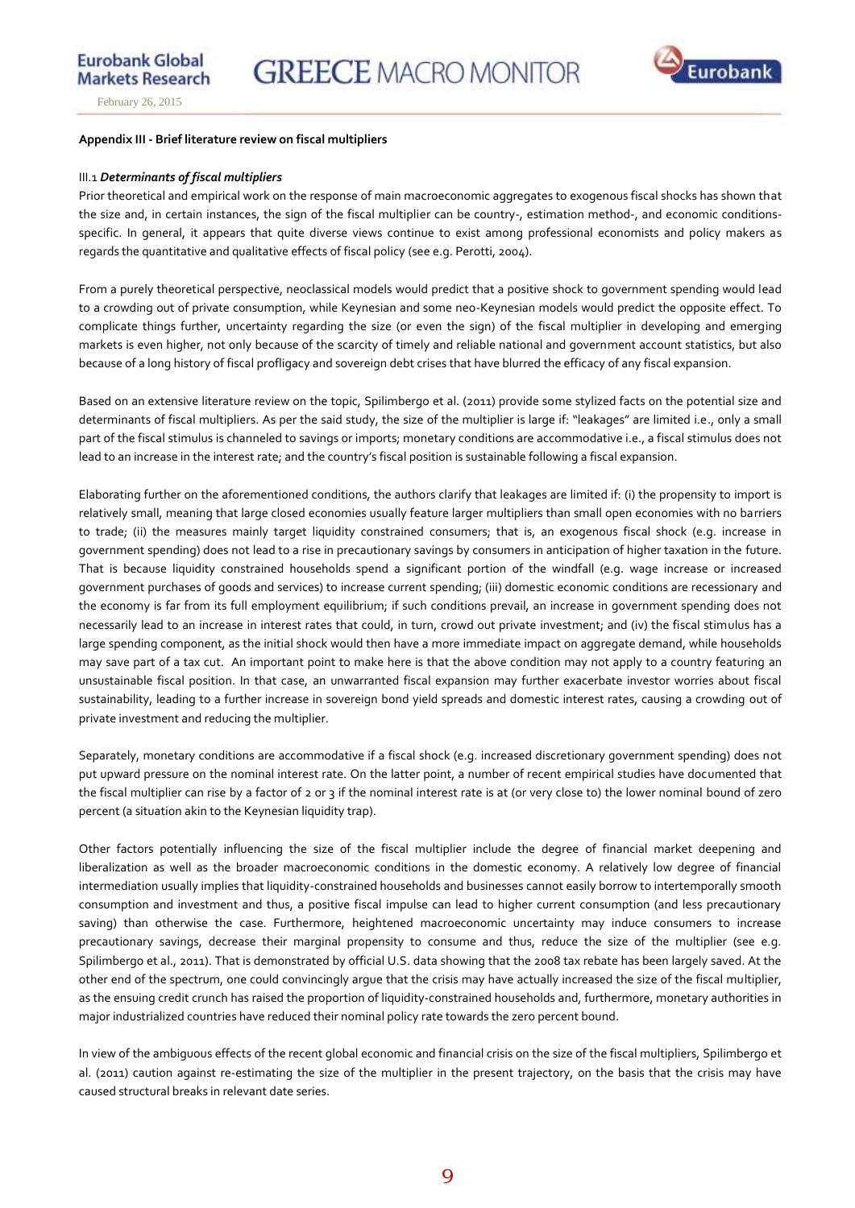February 26, 2015

### **Appendix III - Brief literature review on fiscal multipliers**

### III.1 *Determinants of fiscal multipliers*

Prior theoretical and empirical work on the response of main macroeconomic aggregates to exogenous fiscal shocks has shown that the size and, in certain instances, the sign of the fiscal multiplier can be country-, estimation method-, and economic conditionsspecific. In general, it appears that quite diverse views continue to exist among professional economists and policy makers as regards the quantitative and qualitative effects of fiscal policy (see e.g. Perotti, 2004).

From a purely theoretical perspective, neoclassical models would predict that a positive shock to government spending would lead to a crowding out of private consumption, while Keynesian and some neo-Keynesian models would predict the opposite effect. To complicate things further, uncertainty regarding the size (or even the sign) of the fiscal multiplier in developing and emerging markets is even higher, not only because of the scarcity of timely and reliable national and government account statistics, but also because of a long history of fiscal profligacy and sovereign debt crises that have blurred the efficacy of any fiscal expansion.

Based on an extensive literature review on the topic, Spilimbergo et al. (2011) provide some stylized facts on the potential size and determinants of fiscal multipliers. As per the said study, the size of the multiplier is large if: "leakages" are limited i.e., only a small part of the fiscal stimulus is channeled to savings or imports; monetary conditions are accommodative i.e., a fiscal stimulus does not lead to an increase in the interest rate; and the country's fiscal position is sustainable following a fiscal expansion.

Elaborating further on the aforementioned conditions, the authors clarify that leakages are limited if: (i) the propensity to import is relatively small, meaning that large closed economies usually feature larger multipliers than small open economies with no barriers to trade; (ii) the measures mainly target liquidity constrained consumers; that is, an exogenous fiscal shock (e.g. increase in government spending) does not lead to a rise in precautionary savings by consumers in anticipation of higher taxation in the future. That is because liquidity constrained households spend a significant portion of the windfall (e.g. wage increase or increased government purchases of goods and services) to increase current spending; (iii) domestic economic conditions are recessionary and the economy is far from its full employment equilibrium; if such conditions prevail, an increase in government spending does not necessarily lead to an increase in interest rates that could, in turn, crowd out private investment; and (iv) the fiscal stimulus has a large spending component, as the initial shock would then have a more immediate impact on aggregate demand, while households may save part of a tax cut. An important point to make here is that the above condition may not apply to a country featuring an unsustainable fiscal position. In that case, an unwarranted fiscal expansion may further exacerbate investor worries about fiscal sustainability, leading to a further increase in sovereign bond yield spreads and domestic interest rates, causing a crowding out of private investment and reducing the multiplier.

Separately, monetary conditions are accommodative if a fiscal shock (e.g. increased discretionary government spending) does not put upward pressure on the nominal interest rate. On the latter point, a number of recent empirical studies have documented that the fiscal multiplier can rise by a factor of 2 or 3 if the nominal interest rate is at (or very close to) the lower nominal bound of zero percent (a situation akin to the Keynesian liquidity trap).

Other factors potentially influencing the size of the fiscal multiplier include the degree of financial market deepening and liberalization as well as the broader macroeconomic conditions in the domestic economy. A relatively low degree of financial intermediation usually implies that liquidity-constrained households and businesses cannot easily borrow to intertemporally smooth consumption and investment and thus, a positive fiscal impulse can lead to higher current consumption (and less precautionary saving) than otherwise the case. Furthermore, heightened macroeconomic uncertainty may induce consumers to increase precautionary savings, decrease their marginal propensity to consume and thus, reduce the size of the multiplier (see e.g. Spilimbergo et al., 2011). That is demonstrated by official U.S. data showing that the 2008 tax rebate has been largely saved. At the other end of the spectrum, one could convincingly argue that the crisis may have actually increased the size of the fiscal multiplier, as the ensuing credit crunch has raised the proportion of liquidity-constrained households and, furthermore, monetary authorities in major industrialized countries have reduced their nominal policy rate towards the zero percent bound.

In view of the ambiguous effects of the recent global economic and financial crisis on the size of the fiscal multipliers, Spilimbergo et al. (2011) caution against re-estimating the size of the multiplier in the present trajectory, on the basis that the crisis may have caused structural breaks in relevant date series.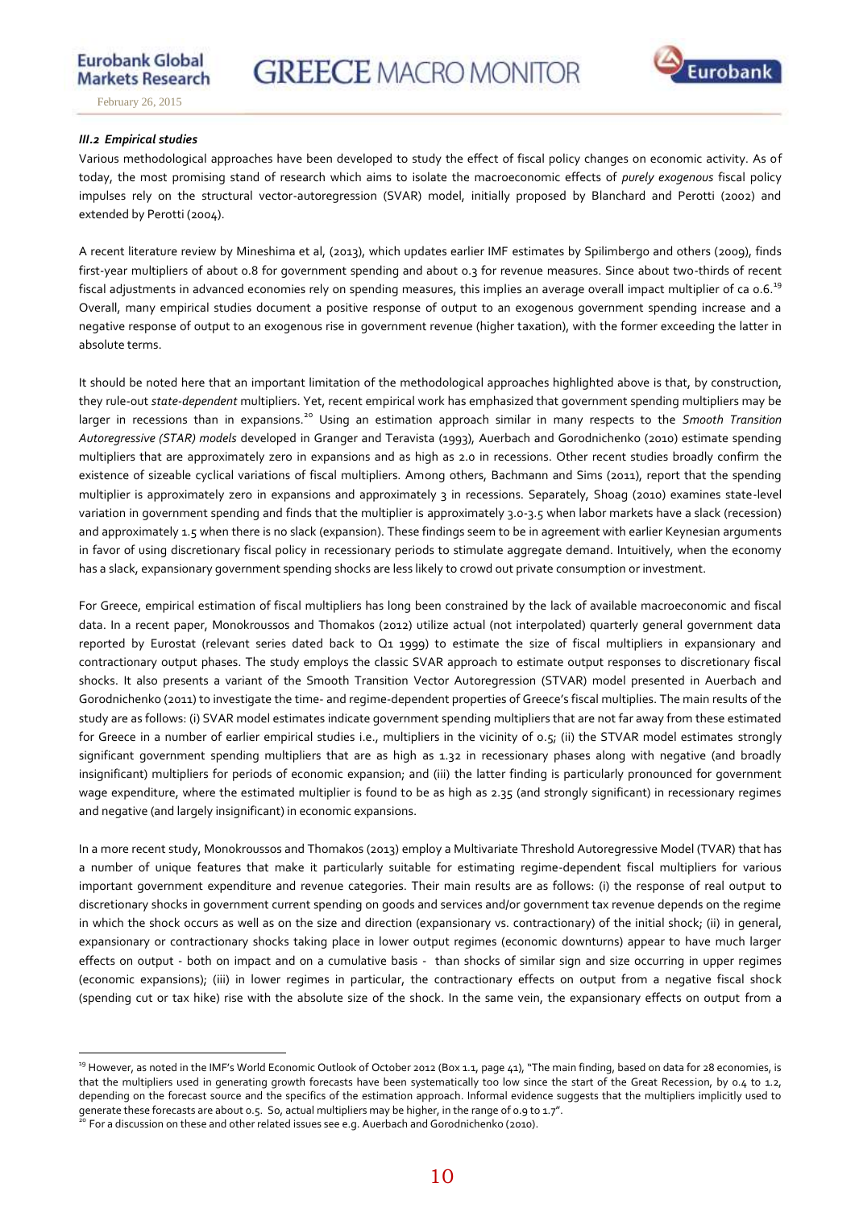

**Eurobank Global** 

### *III.2 Empirical studies*

 $\overline{a}$ 

Various methodological approaches have been developed to study the effect of fiscal policy changes on economic activity. As of today, the most promising stand of research which aims to isolate the macroeconomic effects of *purely exogenous* fiscal policy impulses rely on the structural vector-autoregression (SVAR) model, initially proposed by Blanchard and Perotti (2002) and extended by Perotti (2004).

A recent literature review by Mineshima et al, (2013), which updates earlier IMF estimates by Spilimbergo and others (2009), finds first-year multipliers of about 0.8 for government spending and about 0.3 for revenue measures. Since about two-thirds of recent fiscal adjustments in advanced economies rely on spending measures, this implies an average overall impact multiplier of ca 0.6.<sup>19</sup>  $\overline{a}$ Overall, many empirical studies document a positive response of output to an exogenous government spending increase and a negative response of output to an exogenous rise in government revenue (higher taxation), with the former exceeding the latter in absolute terms.

It should be noted here that an important limitation of the methodological approaches highlighted above is that, by construction, they rule-out *state-dependent* multipliers. Yet, recent empirical work has emphasized that government spending multipliers may be larger in recessions than in expansions.<sup>20</sup> Using an estimation approach similar in many respects to the *Smooth Transition Autoregressive (STAR) models* developed in Granger and Teravista (1993), Auerbach and Gorodnichenko (2010) estimate spending multipliers that are approximately zero in expansions and as high as 2.0 in recessions. Other recent studies broadly confirm the existence of sizeable cyclical variations of fiscal multipliers. Among others, Bachmann and Sims (2011), report that the spending multiplier is approximately zero in expansions and approximately 3 in recessions. Separately, Shoag (2010) examines state-level variation in government spending and finds that the multiplier is approximately 3.0-3.5 when labor markets have a slack (recession) and approximately 1.5 when there is no slack (expansion). These findings seem to be in agreement with earlier Keynesian arguments in favor of using discretionary fiscal policy in recessionary periods to stimulate aggregate demand. Intuitively, when the economy has a slack, expansionary government spending shocks are less likely to crowd out private consumption or investment.

For Greece, empirical estimation of fiscal multipliers has long been constrained by the lack of available macroeconomic and fiscal data. In a recent paper, Monokroussos and Thomakos (2012) utilize actual (not interpolated) quarterly general government data reported by Eurostat (relevant series dated back to Q1 1999) to estimate the size of fiscal multipliers in expansionary and contractionary output phases. The study employs the classic SVAR approach to estimate output responses to discretionary fiscal shocks. It also presents a variant of the Smooth Transition Vector Autoregression (STVAR) model presented in Auerbach and Gorodnichenko (2011) to investigate the time- and regime-dependent properties of Greece's fiscal multiplies. The main results of the study are as follows: (i) SVAR model estimates indicate government spending multipliers that are not far away from these estimated for Greece in a number of earlier empirical studies i.e., multipliers in the vicinity of 0.5; (ii) the STVAR model estimates strongly significant government spending multipliers that are as high as 1.32 in recessionary phases along with negative (and broadly insignificant) multipliers for periods of economic expansion; and (iii) the latter finding is particularly pronounced for government wage expenditure, where the estimated multiplier is found to be as high as 2.35 (and strongly significant) in recessionary regimes and negative (and largely insignificant) in economic expansions.

In a more recent study, Monokroussos and Thomakos (2013) employ a Multivariate Threshold Autoregressive Model (TVAR) that has a number of unique features that make it particularly suitable for estimating regime-dependent fiscal multipliers for various important government expenditure and revenue categories. Their main results are as follows: (i) the response of real output to discretionary shocks in government current spending on goods and services and/or government tax revenue depends on the regime in which the shock occurs as well as on the size and direction (expansionary vs. contractionary) of the initial shock; (ii) in general, expansionary or contractionary shocks taking place in lower output regimes (economic downturns) appear to have much larger effects on output - both on impact and on a cumulative basis - than shocks of similar sign and size occurring in upper regimes (economic expansions); (iii) in lower regimes in particular, the contractionary effects on output from a negative fiscal shock (spending cut or tax hike) rise with the absolute size of the shock. In the same vein, the expansionary effects on output from a

<sup>&</sup>lt;sup>19</sup> However, as noted in the IMF's World Economic Outlook of October 2012 (Box 1.1, page 41), "The main finding, based on data for 28 economies, is that the multipliers used in generating growth forecasts have been systematically too low since the start of the Great Recession, by 0.4 to 1.2, depending on the forecast source and the specifics of the estimation approach. Informal evidence suggests that the multipliers implicitly used to generate these forecasts are about 0.5. So, actual multipliers may be higher, in the range of 0.9 to 1.7".

 $^{20}$  For a discussion on these and other related issues see e.g. Auerbach and Gorodnichenko (2010).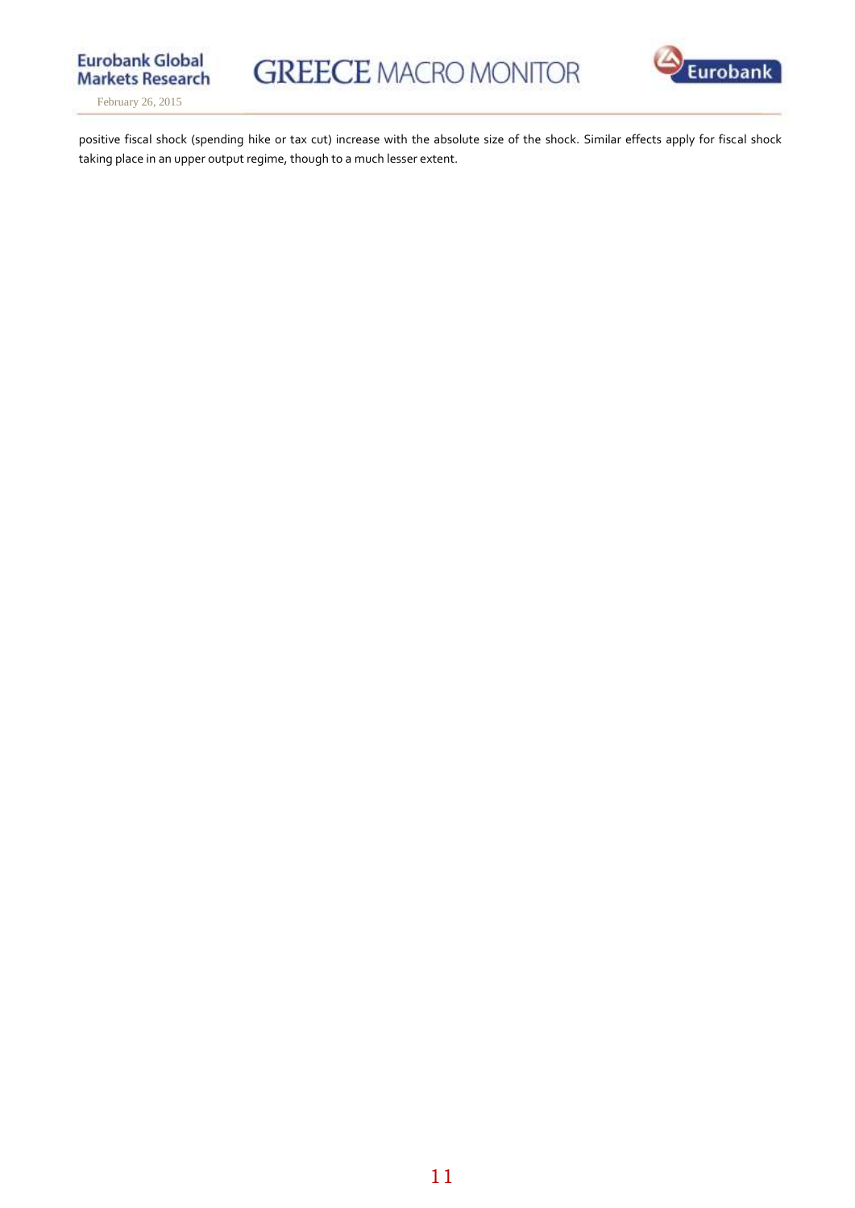

February 26, 2015



positive fiscal shock (spending hike or tax cut) increase with the absolute size of the shock. Similar effects apply for fiscal shock taking place in an upper output regime, though to a much lesser extent.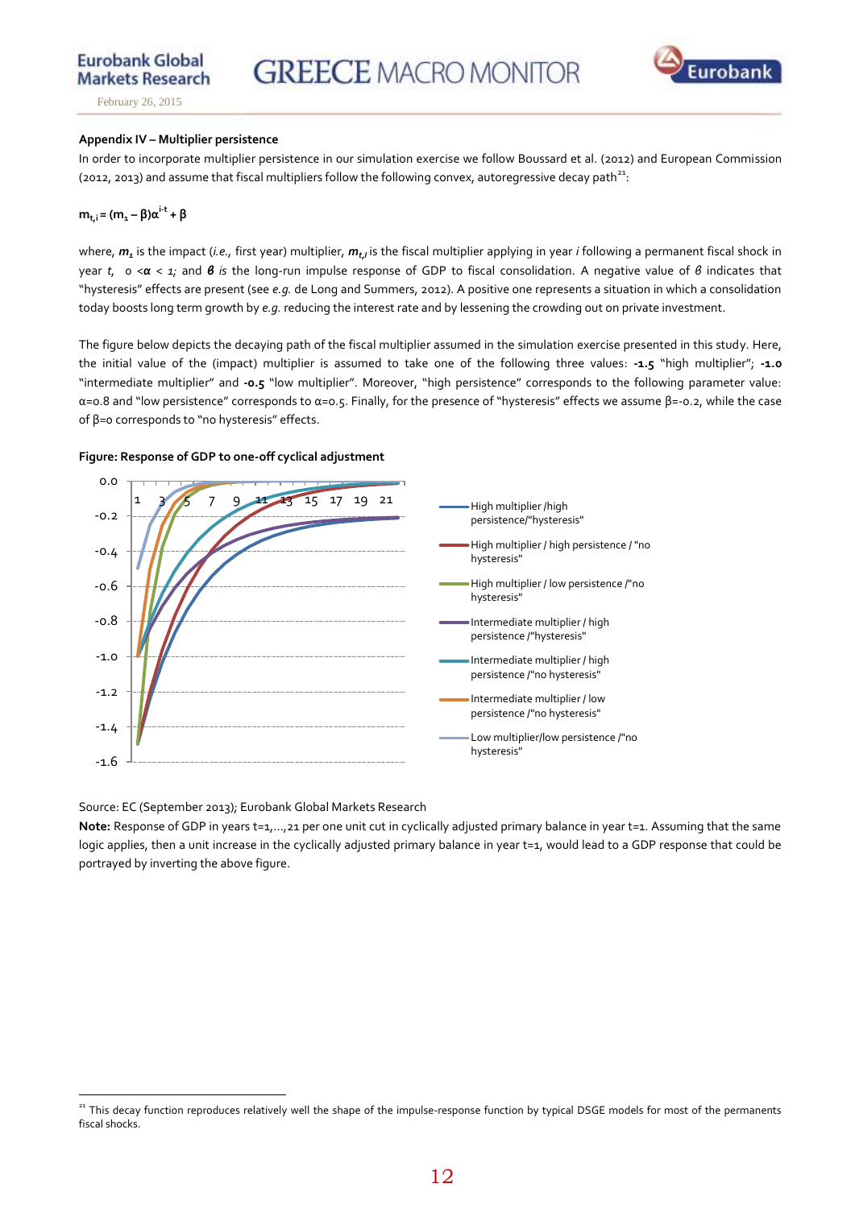**Markets Research** February 26, 2015

**Eurobank Global** 

# **Appendix IV – Multiplier persistence**

In order to incorporate multiplier persistence in our simulation exercise we follow Boussard et al. (2012) and European Commission (2012, 2013) and assume that fiscal multipliers follow the following convex, autoregressive decay path<sup>21</sup>:

# **m**<sub>t,i</sub> =  $(m_1 - \beta)\alpha^{i-t} + \beta$

where, *m<sup>1</sup>* is the impact (*i.e.,* first year) multiplier, *mt,I* is the fiscal multiplier applying in year *i* following a permanent fiscal shock in year *t,* 0 <*α < 1;* and *β is* the long-run impulse response of GDP to fiscal consolidation. Α negative value of *β* indicates that "hysteresis" effects are present (see *e.g.* de Long and Summers, 2012). A positive one represents a situation in which a consolidation today boosts long term growth by *e.g.* reducing the interest rate and by lessening the crowding out on private investment.

The figure below depicts the decaying path of the fiscal multiplier assumed in the simulation exercise presented in this study. Here, the initial value of the (impact) multiplier is assumed to take one of the following three values: **-1.5** "high multiplier"; **-1.0**  "intermediate multiplier" and **-0.5** "low multiplier". Moreover, "high persistence" corresponds to the following parameter value: α=ο.8 and "low persistence" corresponds to α=ο.5. Finally, for the presence of "hysteresis" effects we assume β=-0.2, while the case of β=0 corresponds to "no hysteresis" effects.



**Figure: Response of GDP to one-off cyclical adjustment**

Source: EC (September 2013); Eurobank Global Markets Research

Note: Response of GDP in years t=1,...,21 per one unit cut in cyclically adjusted primary balance in year t=1. Assuming that the same logic applies, then a unit increase in the cyclically adjusted primary balance in year t=1, would lead to a GDP response that could be portrayed by inverting the above figure.

 $\overline{a}$ <sup>21</sup> This decay function reproduces relatively well the shape of the impulse-response function by typical DSGE models for most of the permanents fiscal shocks.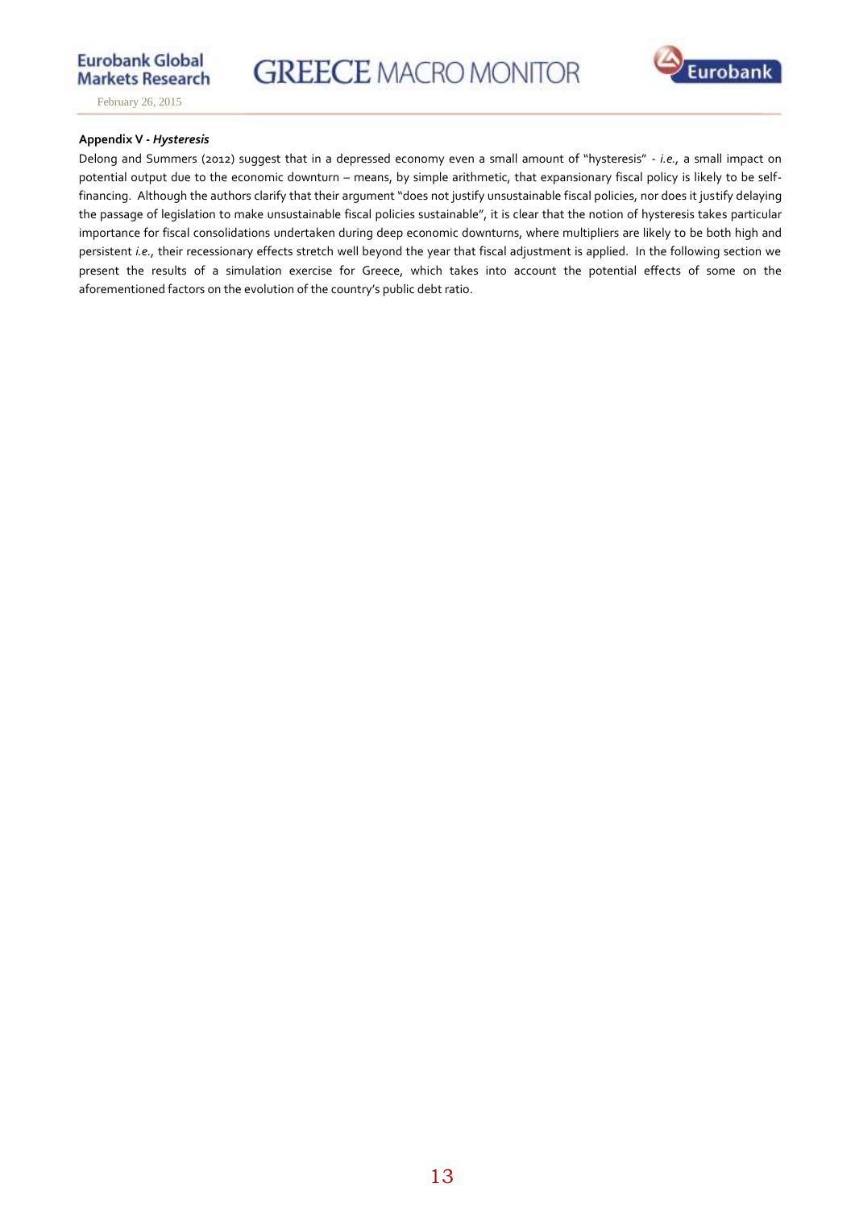**GREECE MACRO MONITOR** 



February 26, 2015

### **Appendix V -** *Hysteresis*

Delong and Summers (2012) suggest that in a depressed economy even a small amount of "hysteresis" - *i.e.,* a small impact on potential output due to the economic downturn – means, by simple arithmetic, that expansionary fiscal policy is likely to be selffinancing. Although the authors clarify that their argument "does not justify unsustainable fiscal policies, nor does it justify delaying the passage of legislation to make unsustainable fiscal policies sustainable", it is clear that the notion of hysteresis takes particular importance for fiscal consolidations undertaken during deep economic downturns, where multipliers are likely to be both high and persistent *i.e.,* their recessionary effects stretch well beyond the year that fiscal adjustment is applied. In the following section we present the results of a simulation exercise for Greece, which takes into account the potential effects of some on the aforementioned factors on the evolution of the country's public debt ratio.